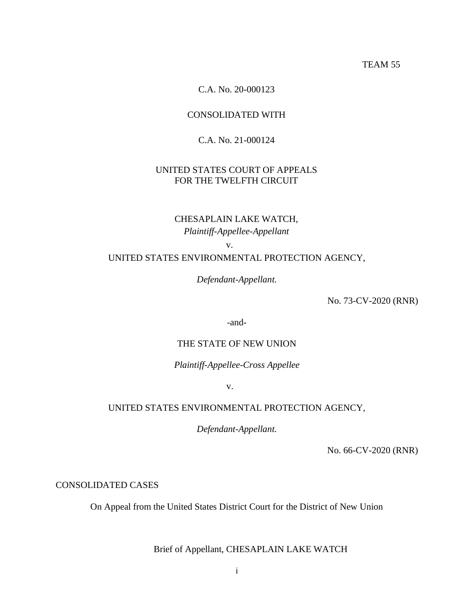TEAM 55

C.A. No. 20-000123

## CONSOLIDATED WITH

## C.A. No. 21-000124

## UNITED STATES COURT OF APPEALS FOR THE TWELFTH CIRCUIT

## CHESAPLAIN LAKE WATCH, *Plaintiff-Appellee-Appellant*

v.

### UNITED STATES ENVIRONMENTAL PROTECTION AGENCY,

*Defendant-Appellant.* 

No. 73-CV-2020 (RNR)

-and-

## THE STATE OF NEW UNION

*Plaintiff-Appellee-Cross Appellee* 

v.

## UNITED STATES ENVIRONMENTAL PROTECTION AGENCY,

*Defendant-Appellant.* 

No. 66-CV-2020 (RNR)

CONSOLIDATED CASES

On Appeal from the United States District Court for the District of New Union

Brief of Appellant, CHESAPLAIN LAKE WATCH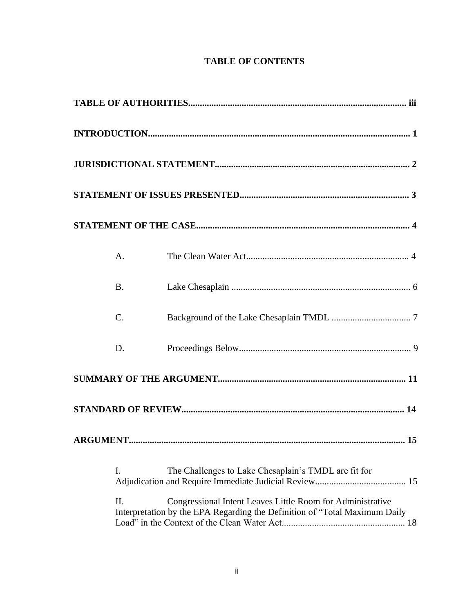## **TABLE OF CONTENTS**

|    | $A_{\cdot}$ |                                                                                                                                          |  |  |  |  |  |
|----|-------------|------------------------------------------------------------------------------------------------------------------------------------------|--|--|--|--|--|
|    | <b>B.</b>   |                                                                                                                                          |  |  |  |  |  |
|    | $C$ .       |                                                                                                                                          |  |  |  |  |  |
|    | D.          |                                                                                                                                          |  |  |  |  |  |
|    |             |                                                                                                                                          |  |  |  |  |  |
|    |             |                                                                                                                                          |  |  |  |  |  |
| 15 |             |                                                                                                                                          |  |  |  |  |  |
|    | Ι.          | The Challenges to Lake Chesaplain's TMDL are fit for                                                                                     |  |  |  |  |  |
|    | Π.          | Congressional Intent Leaves Little Room for Administrative<br>Interpretation by the EPA Regarding the Definition of "Total Maximum Daily |  |  |  |  |  |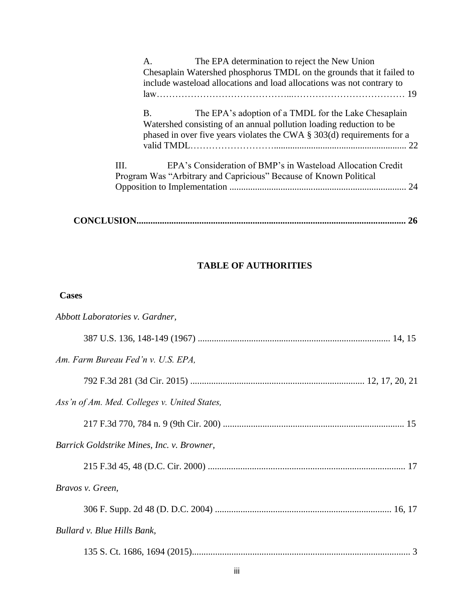|      | The EPA determination to reject the New Union<br>A.<br>Chesaplain Watershed phosphorus TMDL on the grounds that it failed to<br>include wasteload allocations and load allocations was not contrary to                                 |
|------|----------------------------------------------------------------------------------------------------------------------------------------------------------------------------------------------------------------------------------------|
|      | The EPA's adoption of a TMDL for the Lake Chesaplain<br><b>B.</b><br>Watershed consisting of an annual pollution loading reduction to be<br>phased in over five years violates the CWA $\S$ 303(d) requirements for a<br>$\mathcal{D}$ |
| III. | EPA's Consideration of BMP's in Wasteload Allocation Credit<br>Program Was "Arbitrary and Capricious" Because of Known Political                                                                                                       |

|--|--|

## **TABLE OF AUTHORITIES**

## **Cases**

| Abbott Laboratories v. Gardner,              |
|----------------------------------------------|
|                                              |
| Am. Farm Bureau Fed'n v. U.S. EPA,           |
|                                              |
| Ass'n of Am. Med. Colleges v. United States, |
|                                              |
| Barrick Goldstrike Mines, Inc. v. Browner,   |
|                                              |
| Bravos v. Green,                             |
|                                              |
| Bullard v. Blue Hills Bank,                  |
| 3                                            |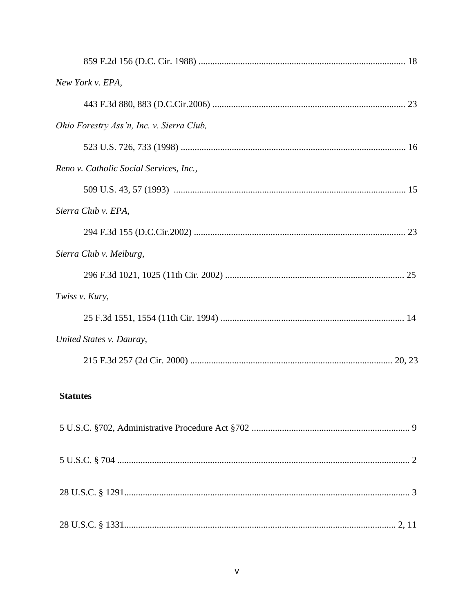| New York v. EPA,                          |  |
|-------------------------------------------|--|
|                                           |  |
| Ohio Forestry Ass'n, Inc. v. Sierra Club, |  |
|                                           |  |
| Reno v. Catholic Social Services, Inc.,   |  |
|                                           |  |
| Sierra Club v. EPA,                       |  |
|                                           |  |
| Sierra Club v. Meiburg,                   |  |
|                                           |  |
| Twiss v. Kury,                            |  |
|                                           |  |
| United States v. Dauray,                  |  |
|                                           |  |
| <b>Statutes</b>                           |  |
|                                           |  |
|                                           |  |
|                                           |  |
|                                           |  |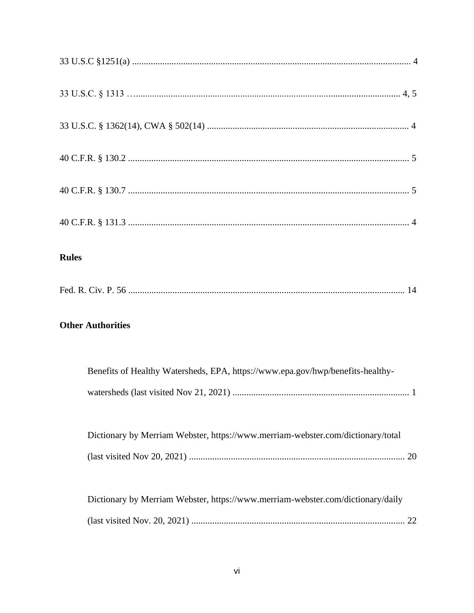| <b>Rules</b>                                                                    |
|---------------------------------------------------------------------------------|
|                                                                                 |
| <b>Other Authorities</b>                                                        |
| Benefits of Healthy Watersheds, EPA, https://www.epa.gov/hwp/benefits-healthy-  |
| Dictionary by Merriam Webster, https://www.merriam-webster.com/dictionary/total |
| Dictionary by Merriam Webster, https://www.merriam-webster.com/dictionary/daily |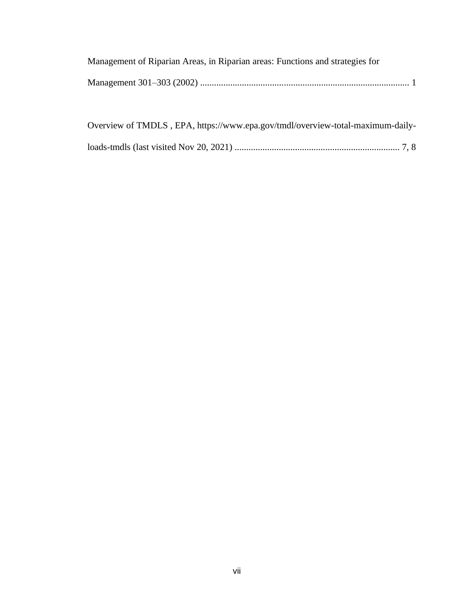| Management of Riparian Areas, in Riparian areas: Functions and strategies for |  |
|-------------------------------------------------------------------------------|--|
|                                                                               |  |

| Overview of TMDLS, EPA, https://www.epa.gov/tmdl/overview-total-maximum-daily- |  |
|--------------------------------------------------------------------------------|--|
|                                                                                |  |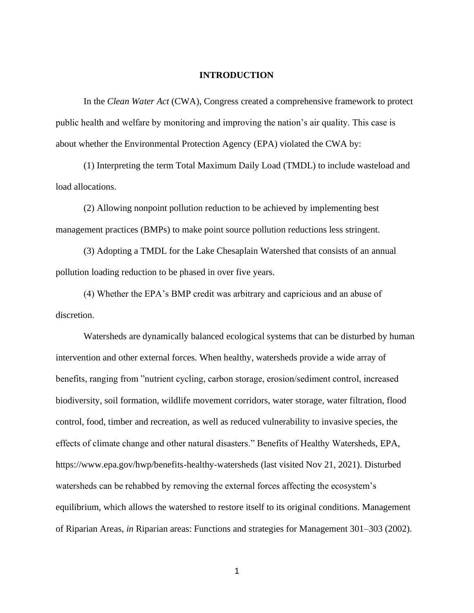#### **INTRODUCTION**

In the *Clean Water Act* (CWA), Congress created a comprehensive framework to protect public health and welfare by monitoring and improving the nation's air quality. This case is about whether the Environmental Protection Agency (EPA) violated the CWA by:

(1) Interpreting the term Total Maximum Daily Load (TMDL) to include wasteload and load allocations.

(2) Allowing nonpoint pollution reduction to be achieved by implementing best management practices (BMPs) to make point source pollution reductions less stringent.

(3) Adopting a TMDL for the Lake Chesaplain Watershed that consists of an annual pollution loading reduction to be phased in over five years.

(4) Whether the EPA's BMP credit was arbitrary and capricious and an abuse of discretion.

Watersheds are dynamically balanced ecological systems that can be disturbed by human intervention and other external forces. When healthy, watersheds provide a wide array of benefits, ranging from "nutrient cycling, carbon storage, erosion/sediment control, increased biodiversity, soil formation, wildlife movement corridors, water storage, water filtration, flood control, food, timber and recreation, as well as reduced vulnerability to invasive species, the effects of climate change and other natural disasters." Benefits of Healthy Watersheds, EPA, https://www.epa.gov/hwp/benefits-healthy-watersheds (last visited Nov 21, 2021). Disturbed watersheds can be rehabbed by removing the external forces affecting the ecosystem's equilibrium, which allows the watershed to restore itself to its original conditions. Management of Riparian Areas, *in* Riparian areas: Functions and strategies for Management 301–303 (2002).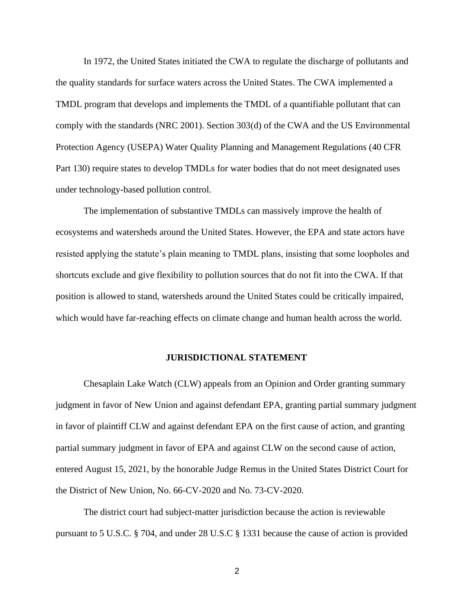In 1972, the United States initiated the CWA to regulate the discharge of pollutants and the quality standards for surface waters across the United States. The CWA implemented a TMDL program that develops and implements the TMDL of a quantifiable pollutant that can comply with the standards (NRC 2001). Section 303(d) of the CWA and the US Environmental Protection Agency (USEPA) Water Quality Planning and Management Regulations (40 CFR Part 130) require states to develop TMDLs for water bodies that do not meet designated uses under technology-based pollution control.

The implementation of substantive TMDLs can massively improve the health of ecosystems and watersheds around the United States. However, the EPA and state actors have resisted applying the statute's plain meaning to TMDL plans, insisting that some loopholes and shortcuts exclude and give flexibility to pollution sources that do not fit into the CWA. If that position is allowed to stand, watersheds around the United States could be critically impaired, which would have far-reaching effects on climate change and human health across the world.

#### **JURISDICTIONAL STATEMENT**

Chesaplain Lake Watch (CLW) appeals from an Opinion and Order granting summary judgment in favor of New Union and against defendant EPA, granting partial summary judgment in favor of plaintiff CLW and against defendant EPA on the first cause of action, and granting partial summary judgment in favor of EPA and against CLW on the second cause of action, entered August 15, 2021, by the honorable Judge Remus in the United States District Court for the District of New Union, No. 66-CV-2020 and No. 73-CV-2020.

The district court had subject-matter jurisdiction because the action is reviewable pursuant to 5 U.S.C. § 704, and under 28 U.S.C § 1331 because the cause of action is provided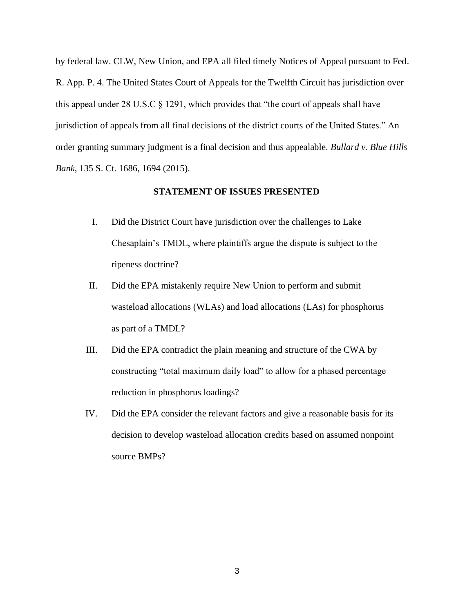by federal law. CLW, New Union, and EPA all filed timely Notices of Appeal pursuant to Fed. R. App. P. 4. The United States Court of Appeals for the Twelfth Circuit has jurisdiction over this appeal under 28 U.S.C  $\S$  1291, which provides that "the court of appeals shall have jurisdiction of appeals from all final decisions of the district courts of the United States." An order granting summary judgment is a final decision and thus appealable. *Bullard v. Blue Hills Bank*, 135 S. Ct. 1686, 1694 (2015).

## **STATEMENT OF ISSUES PRESENTED**

- I. Did the District Court have jurisdiction over the challenges to Lake Chesaplain's TMDL, where plaintiffs argue the dispute is subject to the ripeness doctrine?
- II. Did the EPA mistakenly require New Union to perform and submit wasteload allocations (WLAs) and load allocations (LAs) for phosphorus as part of a TMDL?
- III. Did the EPA contradict the plain meaning and structure of the CWA by constructing "total maximum daily load" to allow for a phased percentage reduction in phosphorus loadings?
- IV. Did the EPA consider the relevant factors and give a reasonable basis for its decision to develop wasteload allocation credits based on assumed nonpoint source BMPs?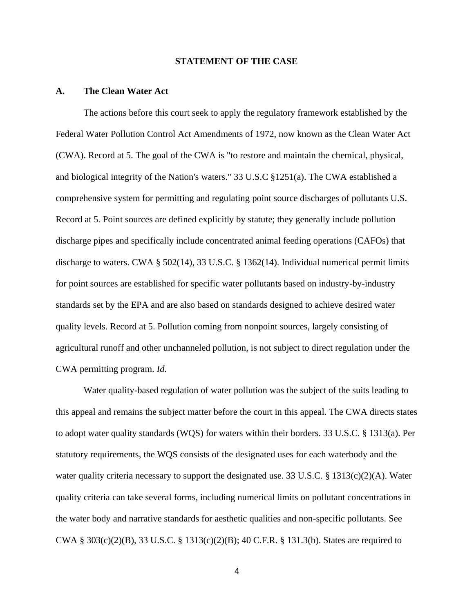#### **STATEMENT OF THE CASE**

#### **A. The Clean Water Act**

The actions before this court seek to apply the regulatory framework established by the Federal Water Pollution Control Act Amendments of 1972, now known as the Clean Water Act (CWA). Record at 5. The goal of the CWA is "to restore and maintain the chemical, physical, and biological integrity of the Nation's waters." 33 U.S.C §1251(a). The CWA established a comprehensive system for permitting and regulating point source discharges of pollutants U.S. Record at 5. Point sources are defined explicitly by statute; they generally include pollution discharge pipes and specifically include concentrated animal feeding operations (CAFOs) that discharge to waters. CWA § 502(14), 33 U.S.C. § 1362(14). Individual numerical permit limits for point sources are established for specific water pollutants based on industry-by-industry standards set by the EPA and are also based on standards designed to achieve desired water quality levels. Record at 5. Pollution coming from nonpoint sources, largely consisting of agricultural runoff and other unchanneled pollution, is not subject to direct regulation under the CWA permitting program. *Id.* 

Water quality-based regulation of water pollution was the subject of the suits leading to this appeal and remains the subject matter before the court in this appeal. The CWA directs states to adopt water quality standards (WQS) for waters within their borders. 33 U.S.C. § 1313(a). Per statutory requirements, the WQS consists of the designated uses for each waterbody and the water quality criteria necessary to support the designated use. 33 U.S.C. § 1313(c)(2)(A). Water quality criteria can take several forms, including numerical limits on pollutant concentrations in the water body and narrative standards for aesthetic qualities and non-specific pollutants. See CWA § 303(c)(2)(B), 33 U.S.C. § 1313(c)(2)(B); 40 C.F.R. § 131.3(b). States are required to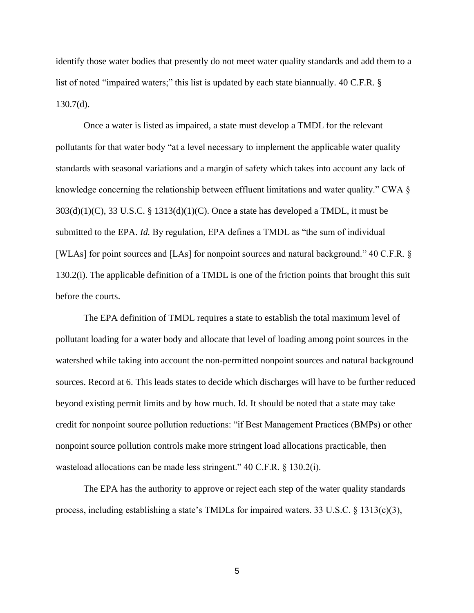identify those water bodies that presently do not meet water quality standards and add them to a list of noted "impaired waters;" this list is updated by each state biannually. 40 C.F.R. §  $130.7(d)$ .

Once a water is listed as impaired, a state must develop a TMDL for the relevant pollutants for that water body "at a level necessary to implement the applicable water quality standards with seasonal variations and a margin of safety which takes into account any lack of knowledge concerning the relationship between effluent limitations and water quality." CWA  $\S$  $303(d)(1)(C)$ , 33 U.S.C. § 1313(d)(1)(C). Once a state has developed a TMDL, it must be submitted to the EPA. *Id*. By regulation, EPA defines a TMDL as "the sum of individual [WLAs] for point sources and [LAs] for nonpoint sources and natural background." 40 C.F.R. § 130.2(i). The applicable definition of a TMDL is one of the friction points that brought this suit before the courts.

The EPA definition of TMDL requires a state to establish the total maximum level of pollutant loading for a water body and allocate that level of loading among point sources in the watershed while taking into account the non-permitted nonpoint sources and natural background sources. Record at 6. This leads states to decide which discharges will have to be further reduced beyond existing permit limits and by how much. Id. It should be noted that a state may take credit for nonpoint source pollution reductions: "if Best Management Practices (BMPs) or other nonpoint source pollution controls make more stringent load allocations practicable, then wasteload allocations can be made less stringent." 40 C.F.R. § 130.2(i).

The EPA has the authority to approve or reject each step of the water quality standards process, including establishing a state's TMDLs for impaired waters. 33 U.S.C. § 1313(c)(3),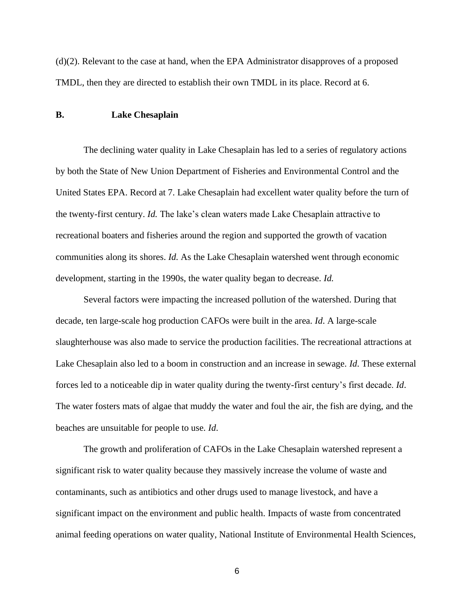(d)(2). Relevant to the case at hand, when the EPA Administrator disapproves of a proposed TMDL, then they are directed to establish their own TMDL in its place. Record at 6.

## **B. Lake Chesaplain**

The declining water quality in Lake Chesaplain has led to a series of regulatory actions by both the State of New Union Department of Fisheries and Environmental Control and the United States EPA. Record at 7. Lake Chesaplain had excellent water quality before the turn of the twenty-first century. *Id.* The lake's clean waters made Lake Chesaplain attractive to recreational boaters and fisheries around the region and supported the growth of vacation communities along its shores. *Id.* As the Lake Chesaplain watershed went through economic development, starting in the 1990s, the water quality began to decrease. *Id.* 

Several factors were impacting the increased pollution of the watershed. During that decade, ten large-scale hog production CAFOs were built in the area. *Id*. A large-scale slaughterhouse was also made to service the production facilities. The recreational attractions at Lake Chesaplain also led to a boom in construction and an increase in sewage. *Id*. These external forces led to a noticeable dip in water quality during the twenty-first century's first decade. *Id*. The water fosters mats of algae that muddy the water and foul the air, the fish are dying, and the beaches are unsuitable for people to use. *Id*.

The growth and proliferation of CAFOs in the Lake Chesaplain watershed represent a significant risk to water quality because they massively increase the volume of waste and contaminants, such as antibiotics and other drugs used to manage livestock, and have a significant impact on the environment and public health. Impacts of waste from concentrated animal feeding operations on water quality, National Institute of Environmental Health Sciences,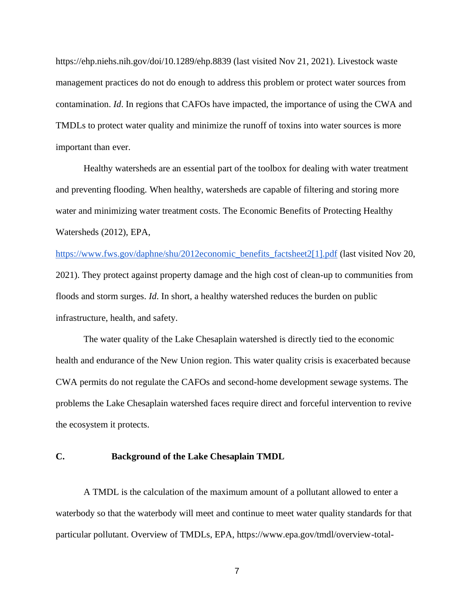https://ehp.niehs.nih.gov/doi/10.1289/ehp.8839 (last visited Nov 21, 2021). Livestock waste management practices do not do enough to address this problem or protect water sources from contamination. *Id*. In regions that CAFOs have impacted, the importance of using the CWA and TMDLs to protect water quality and minimize the runoff of toxins into water sources is more important than ever.

Healthy watersheds are an essential part of the toolbox for dealing with water treatment and preventing flooding. When healthy, watersheds are capable of filtering and storing more water and minimizing water treatment costs. The Economic Benefits of Protecting Healthy Watersheds (2012), EPA,

[https://www.fws.gov/daphne/shu/2012economic\\_benefits\\_factsheet2\[1\].pdf](https://www.fws.gov/daphne/shu/2012economic_benefits_factsheet2%5b1%5d.pdf) (last visited Nov 20, 2021). They protect against property damage and the high cost of clean-up to communities from floods and storm surges. *Id*. In short, a healthy watershed reduces the burden on public infrastructure, health, and safety.

The water quality of the Lake Chesaplain watershed is directly tied to the economic health and endurance of the New Union region. This water quality crisis is exacerbated because CWA permits do not regulate the CAFOs and second-home development sewage systems. The problems the Lake Chesaplain watershed faces require direct and forceful intervention to revive the ecosystem it protects.

## **C. Background of the Lake Chesaplain TMDL**

A TMDL is the calculation of the maximum amount of a pollutant allowed to enter a waterbody so that the waterbody will meet and continue to meet water quality standards for that particular pollutant. Overview of TMDLs, EPA, https://www.epa.gov/tmdl/overview-total-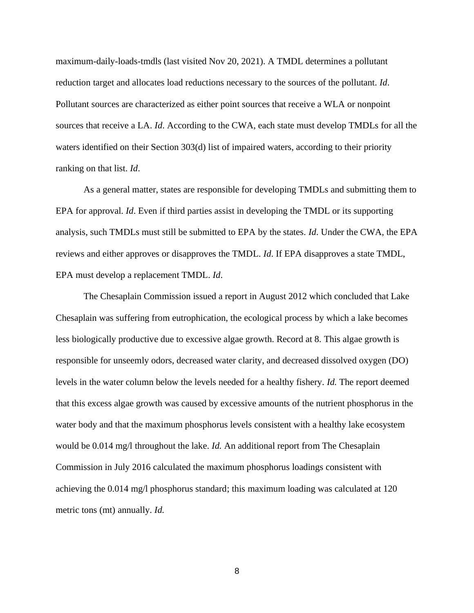maximum-daily-loads-tmdls (last visited Nov 20, 2021). A TMDL determines a pollutant reduction target and allocates load reductions necessary to the sources of the pollutant. *Id*. Pollutant sources are characterized as either point sources that receive a WLA or nonpoint sources that receive a LA. *Id*. According to the CWA, each state must develop TMDLs for all the waters identified on their Section 303(d) list of impaired waters, according to their priority ranking on that list. *Id*.

As a general matter, states are responsible for developing TMDLs and submitting them to EPA for approval. *Id*. Even if third parties assist in developing the TMDL or its supporting analysis, such TMDLs must still be submitted to EPA by the states. *Id*. Under the CWA, the EPA reviews and either approves or disapproves the TMDL. *Id*. If EPA disapproves a state TMDL, EPA must develop a replacement TMDL. *Id*.

The Chesaplain Commission issued a report in August 2012 which concluded that Lake Chesaplain was suffering from eutrophication, the ecological process by which a lake becomes less biologically productive due to excessive algae growth. Record at 8. This algae growth is responsible for unseemly odors, decreased water clarity, and decreased dissolved oxygen (DO) levels in the water column below the levels needed for a healthy fishery. *Id.* The report deemed that this excess algae growth was caused by excessive amounts of the nutrient phosphorus in the water body and that the maximum phosphorus levels consistent with a healthy lake ecosystem would be 0.014 mg/l throughout the lake. *Id.* An additional report from The Chesaplain Commission in July 2016 calculated the maximum phosphorus loadings consistent with achieving the 0.014 mg/l phosphorus standard; this maximum loading was calculated at 120 metric tons (mt) annually. *Id.*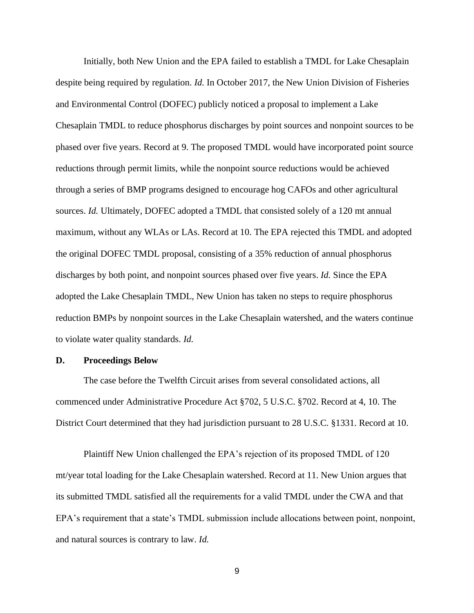Initially, both New Union and the EPA failed to establish a TMDL for Lake Chesaplain despite being required by regulation. *Id.* In October 2017, the New Union Division of Fisheries and Environmental Control (DOFEC) publicly noticed a proposal to implement a Lake Chesaplain TMDL to reduce phosphorus discharges by point sources and nonpoint sources to be phased over five years. Record at 9. The proposed TMDL would have incorporated point source reductions through permit limits, while the nonpoint source reductions would be achieved through a series of BMP programs designed to encourage hog CAFOs and other agricultural sources. *Id.* Ultimately, DOFEC adopted a TMDL that consisted solely of a 120 mt annual maximum, without any WLAs or LAs. Record at 10. The EPA rejected this TMDL and adopted the original DOFEC TMDL proposal, consisting of a 35% reduction of annual phosphorus discharges by both point, and nonpoint sources phased over five years. *Id.* Since the EPA adopted the Lake Chesaplain TMDL, New Union has taken no steps to require phosphorus reduction BMPs by nonpoint sources in the Lake Chesaplain watershed, and the waters continue to violate water quality standards. *Id.*

#### **D. Proceedings Below**

The case before the Twelfth Circuit arises from several consolidated actions, all commenced under Administrative Procedure Act §702, 5 U.S.C. §702. Record at 4, 10. The District Court determined that they had jurisdiction pursuant to 28 U.S.C. §1331. Record at 10.

Plaintiff New Union challenged the EPA's rejection of its proposed TMDL of 120 mt/year total loading for the Lake Chesaplain watershed. Record at 11. New Union argues that its submitted TMDL satisfied all the requirements for a valid TMDL under the CWA and that EPA's requirement that a state's TMDL submission include allocations between point, nonpoint, and natural sources is contrary to law. *Id.*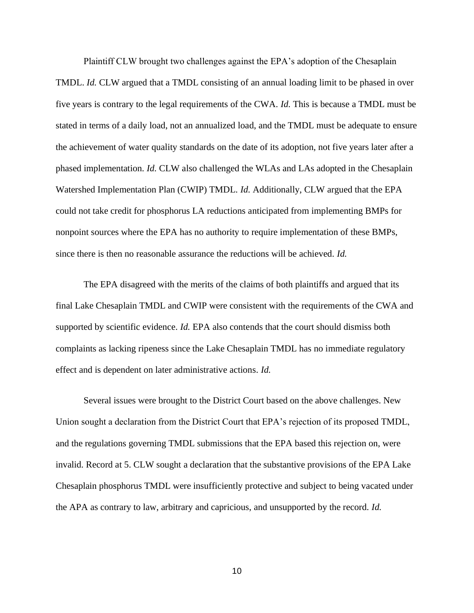Plaintiff CLW brought two challenges against the EPA's adoption of the Chesaplain

TMDL. *Id.* CLW argued that a TMDL consisting of an annual loading limit to be phased in over five years is contrary to the legal requirements of the CWA. *Id.* This is because a TMDL must be stated in terms of a daily load, not an annualized load, and the TMDL must be adequate to ensure the achievement of water quality standards on the date of its adoption, not five years later after a phased implementation. *Id.* CLW also challenged the WLAs and LAs adopted in the Chesaplain Watershed Implementation Plan (CWIP) TMDL. *Id.* Additionally, CLW argued that the EPA could not take credit for phosphorus LA reductions anticipated from implementing BMPs for nonpoint sources where the EPA has no authority to require implementation of these BMPs, since there is then no reasonable assurance the reductions will be achieved. *Id.*

The EPA disagreed with the merits of the claims of both plaintiffs and argued that its final Lake Chesaplain TMDL and CWIP were consistent with the requirements of the CWA and supported by scientific evidence. *Id.* EPA also contends that the court should dismiss both complaints as lacking ripeness since the Lake Chesaplain TMDL has no immediate regulatory effect and is dependent on later administrative actions. *Id.*

Several issues were brought to the District Court based on the above challenges. New Union sought a declaration from the District Court that EPA's rejection of its proposed TMDL, and the regulations governing TMDL submissions that the EPA based this rejection on, were invalid. Record at 5. CLW sought a declaration that the substantive provisions of the EPA Lake Chesaplain phosphorus TMDL were insufficiently protective and subject to being vacated under the APA as contrary to law, arbitrary and capricious, and unsupported by the record. *Id.*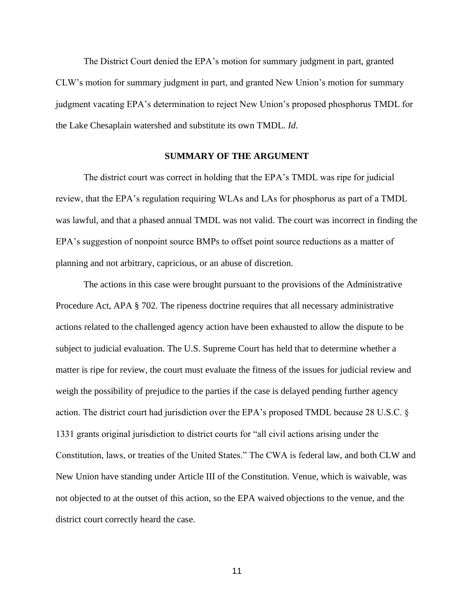The District Court denied the EPA's motion for summary judgment in part, granted CLW's motion for summary judgment in part, and granted New Union's motion for summary judgment vacating EPA's determination to reject New Union's proposed phosphorus TMDL for the Lake Chesaplain watershed and substitute its own TMDL. *Id.*

### **SUMMARY OF THE ARGUMENT**

The district court was correct in holding that the EPA's TMDL was ripe for judicial review, that the EPA's regulation requiring WLAs and LAs for phosphorus as part of a TMDL was lawful, and that a phased annual TMDL was not valid. The court was incorrect in finding the EPA's suggestion of nonpoint source BMPs to offset point source reductions as a matter of planning and not arbitrary, capricious, or an abuse of discretion.

The actions in this case were brought pursuant to the provisions of the Administrative Procedure Act, APA § 702. The ripeness doctrine requires that all necessary administrative actions related to the challenged agency action have been exhausted to allow the dispute to be subject to judicial evaluation. The U.S. Supreme Court has held that to determine whether a matter is ripe for review, the court must evaluate the fitness of the issues for judicial review and weigh the possibility of prejudice to the parties if the case is delayed pending further agency action. The district court had jurisdiction over the EPA's proposed TMDL because 28 U.S.C. § 1331 grants original jurisdiction to district courts for "all civil actions arising under the Constitution, laws, or treaties of the United States." The CWA is federal law, and both CLW and New Union have standing under Article III of the Constitution. Venue, which is waivable, was not objected to at the outset of this action, so the EPA waived objections to the venue, and the district court correctly heard the case.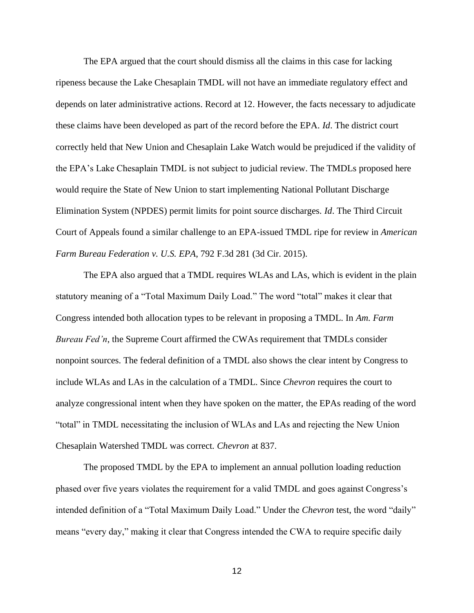The EPA argued that the court should dismiss all the claims in this case for lacking ripeness because the Lake Chesaplain TMDL will not have an immediate regulatory effect and depends on later administrative actions. Record at 12. However, the facts necessary to adjudicate these claims have been developed as part of the record before the EPA. *Id*. The district court correctly held that New Union and Chesaplain Lake Watch would be prejudiced if the validity of the EPA's Lake Chesaplain TMDL is not subject to judicial review. The TMDLs proposed here would require the State of New Union to start implementing National Pollutant Discharge Elimination System (NPDES) permit limits for point source discharges. *Id*. The Third Circuit Court of Appeals found a similar challenge to an EPA-issued TMDL ripe for review in *American Farm Bureau Federation v. U.S. EPA*, 792 F.3d 281 (3d Cir. 2015).

The EPA also argued that a TMDL requires WLAs and LAs, which is evident in the plain statutory meaning of a "Total Maximum Daily Load." The word "total" makes it clear that Congress intended both allocation types to be relevant in proposing a TMDL. In *Am. Farm Bureau Fed'n*, the Supreme Court affirmed the CWAs requirement that TMDLs consider nonpoint sources. The federal definition of a TMDL also shows the clear intent by Congress to include WLAs and LAs in the calculation of a TMDL. Since *Chevron* requires the court to analyze congressional intent when they have spoken on the matter, the EPAs reading of the word "total" in TMDL necessitating the inclusion of WLAs and LAs and rejecting the New Union Chesaplain Watershed TMDL was correct. *Chevron* at 837.

The proposed TMDL by the EPA to implement an annual pollution loading reduction phased over five years violates the requirement for a valid TMDL and goes against Congress's intended definition of a "Total Maximum Daily Load." Under the *Chevron* test, the word "daily" means "every day," making it clear that Congress intended the CWA to require specific daily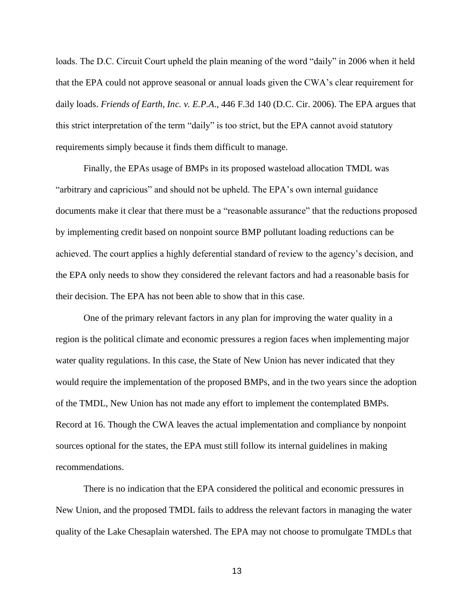loads. The D.C. Circuit Court upheld the plain meaning of the word "daily" in 2006 when it held that the EPA could not approve seasonal or annual loads given the CWA's clear requirement for daily loads. *Friends of Earth, Inc. v. E.P.A*., 446 F.3d 140 (D.C. Cir. 2006). The EPA argues that this strict interpretation of the term "daily" is too strict, but the EPA cannot avoid statutory requirements simply because it finds them difficult to manage.

Finally, the EPAs usage of BMPs in its proposed wasteload allocation TMDL was "arbitrary and capricious" and should not be upheld. The EPA's own internal guidance documents make it clear that there must be a "reasonable assurance" that the reductions proposed by implementing credit based on nonpoint source BMP pollutant loading reductions can be achieved. The court applies a highly deferential standard of review to the agency's decision, and the EPA only needs to show they considered the relevant factors and had a reasonable basis for their decision. The EPA has not been able to show that in this case.

One of the primary relevant factors in any plan for improving the water quality in a region is the political climate and economic pressures a region faces when implementing major water quality regulations. In this case, the State of New Union has never indicated that they would require the implementation of the proposed BMPs, and in the two years since the adoption of the TMDL, New Union has not made any effort to implement the contemplated BMPs. Record at 16. Though the CWA leaves the actual implementation and compliance by nonpoint sources optional for the states, the EPA must still follow its internal guidelines in making recommendations.

There is no indication that the EPA considered the political and economic pressures in New Union, and the proposed TMDL fails to address the relevant factors in managing the water quality of the Lake Chesaplain watershed. The EPA may not choose to promulgate TMDLs that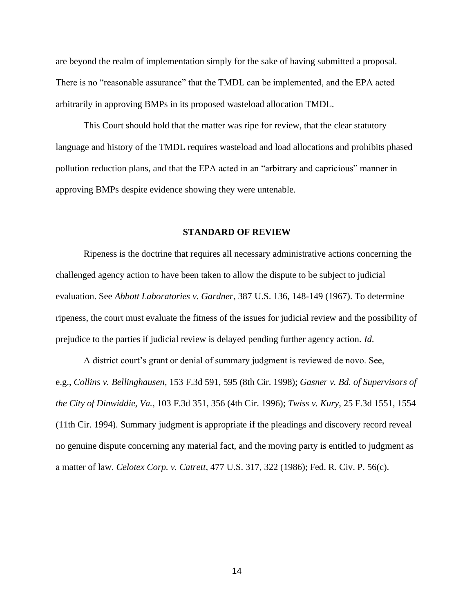are beyond the realm of implementation simply for the sake of having submitted a proposal. There is no "reasonable assurance" that the TMDL can be implemented, and the EPA acted arbitrarily in approving BMPs in its proposed wasteload allocation TMDL.

This Court should hold that the matter was ripe for review, that the clear statutory language and history of the TMDL requires wasteload and load allocations and prohibits phased pollution reduction plans, and that the EPA acted in an "arbitrary and capricious" manner in approving BMPs despite evidence showing they were untenable.

#### **STANDARD OF REVIEW**

Ripeness is the doctrine that requires all necessary administrative actions concerning the challenged agency action to have been taken to allow the dispute to be subject to judicial evaluation. See *Abbott Laboratories v. Gardner*, 387 U.S. 136, 148-149 (1967). To determine ripeness, the court must evaluate the fitness of the issues for judicial review and the possibility of prejudice to the parties if judicial review is delayed pending further agency action. *Id*.

A district court's grant or denial of summary judgment is reviewed de novo. See, e.g., *Collins v. Bellinghausen*, 153 F.3d 591, 595 (8th Cir. 1998); *Gasner v. Bd. of Supervisors of the City of Dinwiddie, Va.*, 103 F.3d 351, 356 (4th Cir. 1996); *Twiss v. Kury*, 25 F.3d 1551, 1554 (11th Cir. 1994). Summary judgment is appropriate if the pleadings and discovery record reveal no genuine dispute concerning any material fact, and the moving party is entitled to judgment as a matter of law. *Celotex Corp. v. Catrett*, 477 U.S. 317, 322 (1986); Fed. R. Civ. P. 56(c).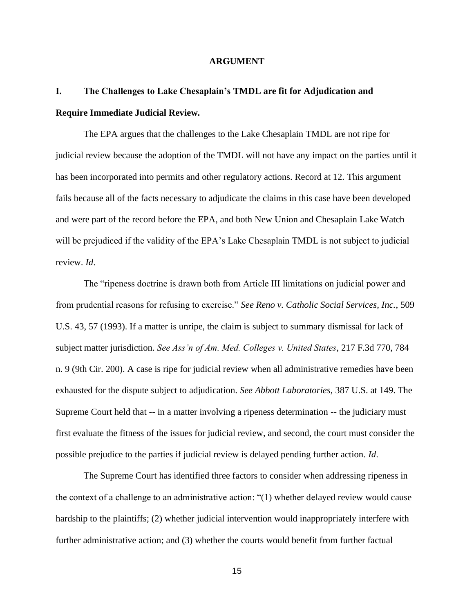### **ARGUMENT**

# **I. The Challenges to Lake Chesaplain's TMDL are fit for Adjudication and Require Immediate Judicial Review.**

The EPA argues that the challenges to the Lake Chesaplain TMDL are not ripe for judicial review because the adoption of the TMDL will not have any impact on the parties until it has been incorporated into permits and other regulatory actions. Record at 12. This argument fails because all of the facts necessary to adjudicate the claims in this case have been developed and were part of the record before the EPA, and both New Union and Chesaplain Lake Watch will be prejudiced if the validity of the EPA's Lake Chesaplain TMDL is not subject to judicial review. *Id*.

The "ripeness doctrine is drawn both from Article III limitations on judicial power and from prudential reasons for refusing to exercise." *See Reno v. Catholic Social Services, Inc.*, 509 U.S. 43, 57 (1993). If a matter is unripe, the claim is subject to summary dismissal for lack of subject matter jurisdiction. *See Ass'n of Am. Med. Colleges v. United States*, 217 F.3d 770, 784 n. 9 (9th Cir. 200). A case is ripe for judicial review when all administrative remedies have been exhausted for the dispute subject to adjudication. *See Abbott Laboratories,* 387 U.S. at 149. The Supreme Court held that -- in a matter involving a ripeness determination -- the judiciary must first evaluate the fitness of the issues for judicial review, and second, the court must consider the possible prejudice to the parties if judicial review is delayed pending further action. *Id*.

The Supreme Court has identified three factors to consider when addressing ripeness in the context of a challenge to an administrative action: "(1) whether delayed review would cause hardship to the plaintiffs; (2) whether judicial intervention would inappropriately interfere with further administrative action; and (3) whether the courts would benefit from further factual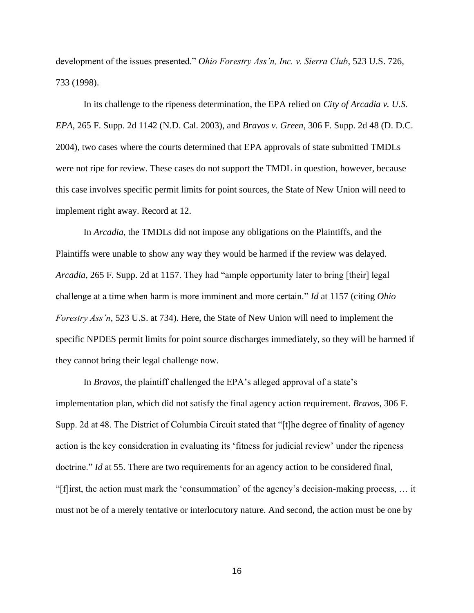development of the issues presented." *Ohio Forestry Ass'n, Inc. v. Sierra Club*, 523 U.S. 726, 733 (1998).

In its challenge to the ripeness determination, the EPA relied on *City of Arcadia v. U.S. EPA*, 265 F. Supp. 2d 1142 (N.D. Cal. 2003), and *Bravos v. Green*, 306 F. Supp. 2d 48 (D. D.C. 2004), two cases where the courts determined that EPA approvals of state submitted TMDLs were not ripe for review. These cases do not support the TMDL in question, however, because this case involves specific permit limits for point sources, the State of New Union will need to implement right away. Record at 12.

In *Arcadia*, the TMDLs did not impose any obligations on the Plaintiffs, and the Plaintiffs were unable to show any way they would be harmed if the review was delayed. *Arcadia,* 265 F. Supp. 2d at 1157. They had "ample opportunity later to bring [their] legal challenge at a time when harm is more imminent and more certain." *Id* at 1157 (citing *Ohio Forestry Ass'n*, 523 U.S. at 734). Here, the State of New Union will need to implement the specific NPDES permit limits for point source discharges immediately, so they will be harmed if they cannot bring their legal challenge now.

In *Bravos*, the plaintiff challenged the EPA's alleged approval of a state's implementation plan, which did not satisfy the final agency action requirement. *Bravos*, 306 F. Supp. 2d at 48. The District of Columbia Circuit stated that "[t]he degree of finality of agency action is the key consideration in evaluating its 'fitness for judicial review' under the ripeness doctrine." *Id* at 55. There are two requirements for an agency action to be considered final, "[f]irst, the action must mark the 'consummation' of the agency's decision-making process, … it must not be of a merely tentative or interlocutory nature. And second, the action must be one by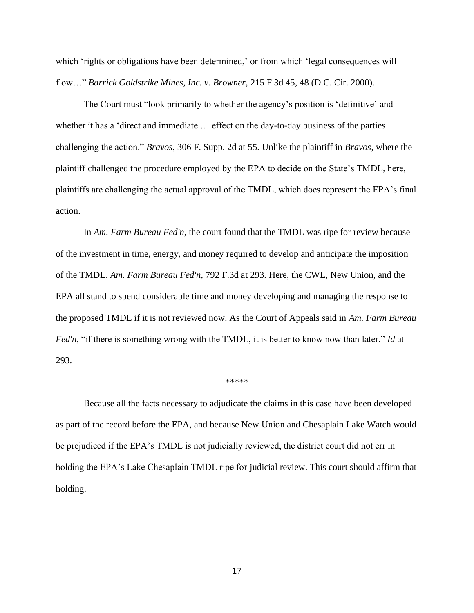which 'rights or obligations have been determined,' or from which 'legal consequences will flow…" *Barrick Goldstrike Mines, Inc. v. Browner,* 215 F.3d 45, 48 (D.C. Cir. 2000).

The Court must "look primarily to whether the agency's position is 'definitive' and whether it has a 'direct and immediate … effect on the day-to-day business of the parties challenging the action." *Bravos*, 306 F. Supp. 2d at 55. Unlike the plaintiff in *Bravos*, where the plaintiff challenged the procedure employed by the EPA to decide on the State's TMDL, here, plaintiffs are challenging the actual approval of the TMDL, which does represent the EPA's final action.

In *Am. Farm Bureau Fed'n*, the court found that the TMDL was ripe for review because of the investment in time, energy, and money required to develop and anticipate the imposition of the TMDL. *Am. Farm Bureau Fed'n,* 792 F.3d at 293. Here, the CWL, New Union, and the EPA all stand to spend considerable time and money developing and managing the response to the proposed TMDL if it is not reviewed now. As the Court of Appeals said in *Am. Farm Bureau Fed'n,* "if there is something wrong with the TMDL, it is better to know now than later." *Id* at 293.

#### \*\*\*\*\*

Because all the facts necessary to adjudicate the claims in this case have been developed as part of the record before the EPA, and because New Union and Chesaplain Lake Watch would be prejudiced if the EPA's TMDL is not judicially reviewed, the district court did not err in holding the EPA's Lake Chesaplain TMDL ripe for judicial review. This court should affirm that holding.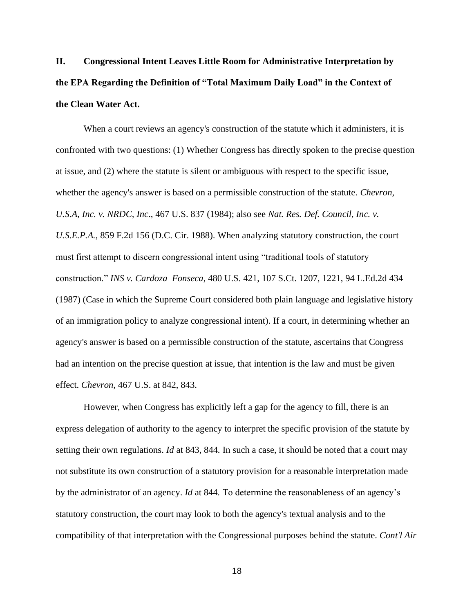**II. Congressional Intent Leaves Little Room for Administrative Interpretation by the EPA Regarding the Definition of "Total Maximum Daily Load" in the Context of the Clean Water Act.**

When a court reviews an agency's construction of the statute which it administers, it is confronted with two questions: (1) Whether Congress has directly spoken to the precise question at issue, and (2) where the statute is silent or ambiguous with respect to the specific issue, whether the agency's answer is based on a permissible construction of the statute. *Chevron, U.S.A, Inc. v. NRDC, Inc*., 467 U.S. 837 (1984); also see *Nat. Res. Def. Council, Inc. v. U.S.E.P.A.*, 859 F.2d 156 (D.C. Cir. 1988). When analyzing statutory construction, the court must first attempt to discern congressional intent using "traditional tools of statutory construction." *INS v. Cardoza–Fonseca*, 480 U.S. 421, 107 S.Ct. 1207, 1221, 94 L.Ed.2d 434 (1987) (Case in which the Supreme Court considered both plain language and legislative history of an immigration policy to analyze congressional intent). If a court, in determining whether an agency's answer is based on a permissible construction of the statute, ascertains that Congress had an intention on the precise question at issue, that intention is the law and must be given effect. *Chevron,* 467 U.S. at 842, 843.

However, when Congress has explicitly left a gap for the agency to fill, there is an express delegation of authority to the agency to interpret the specific provision of the statute by setting their own regulations. *Id* at 843, 844*.* In such a case, it should be noted that a court may not substitute its own construction of a statutory provision for a reasonable interpretation made by the administrator of an agency. *Id* at 844*.* To determine the reasonableness of an agency's statutory construction, the court may look to both the agency's textual analysis and to the compatibility of that interpretation with the Congressional purposes behind the statute. *Cont'l Air*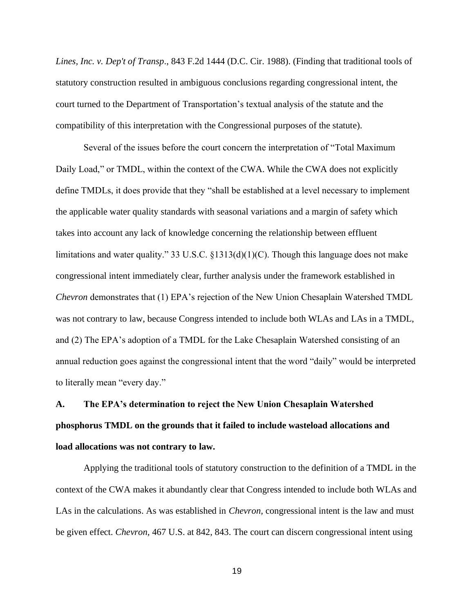*Lines, Inc. v. Dep't of Transp*., 843 F.2d 1444 (D.C. Cir. 1988). (Finding that traditional tools of statutory construction resulted in ambiguous conclusions regarding congressional intent, the court turned to the Department of Transportation's textual analysis of the statute and the compatibility of this interpretation with the Congressional purposes of the statute).

Several of the issues before the court concern the interpretation of "Total Maximum Daily Load," or TMDL, within the context of the CWA. While the CWA does not explicitly define TMDLs, it does provide that they "shall be established at a level necessary to implement the applicable water quality standards with seasonal variations and a margin of safety which takes into account any lack of knowledge concerning the relationship between effluent limitations and water quality." 33 U.S.C. §1313(d)(1)(C). Though this language does not make congressional intent immediately clear, further analysis under the framework established in *Chevron* demonstrates that (1) EPA's rejection of the New Union Chesaplain Watershed TMDL was not contrary to law, because Congress intended to include both WLAs and LAs in a TMDL, and (2) The EPA's adoption of a TMDL for the Lake Chesaplain Watershed consisting of an annual reduction goes against the congressional intent that the word "daily" would be interpreted to literally mean "every day."

# **A. The EPA's determination to reject the New Union Chesaplain Watershed phosphorus TMDL on the grounds that it failed to include wasteload allocations and load allocations was not contrary to law.**

Applying the traditional tools of statutory construction to the definition of a TMDL in the context of the CWA makes it abundantly clear that Congress intended to include both WLAs and LAs in the calculations. As was established in *Chevron,* congressional intent is the law and must be given effect. *Chevron,* 467 U.S. at 842, 843. The court can discern congressional intent using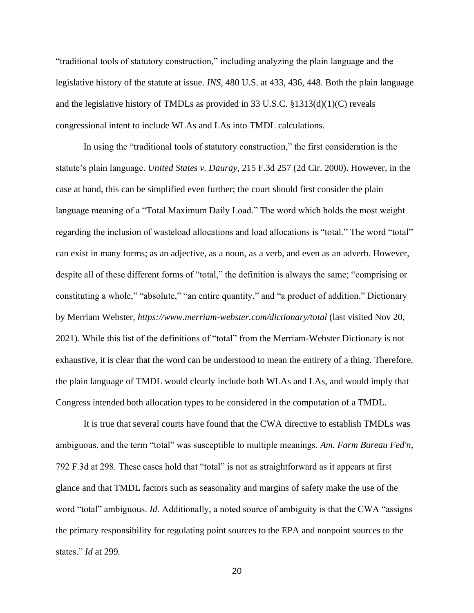"traditional tools of statutory construction," including analyzing the plain language and the legislative history of the statute at issue. *INS,* 480 U.S. at 433, 436, 448. Both the plain language and the legislative history of TMDLs as provided in 33 U.S.C. §1313(d)(1)(C) reveals congressional intent to include WLAs and LAs into TMDL calculations.

In using the "traditional tools of statutory construction," the first consideration is the statute's plain language. *United States v. Dauray*, 215 F.3d 257 (2d Cir. 2000). However, in the case at hand, this can be simplified even further; the court should first consider the plain language meaning of a "Total Maximum Daily Load." The word which holds the most weight regarding the inclusion of wasteload allocations and load allocations is "total." The word "total" can exist in many forms; as an adjective, as a noun, as a verb, and even as an adverb. However, despite all of these different forms of "total," the definition is always the same; "comprising or constituting a whole," "absolute," "an entire quantity," and "a product of addition." Dictionary by Merriam Webster, *https://www.merriam-webster.com/dictionary/total* (last visited Nov 20, 2021)*.* While this list of the definitions of "total" from the Merriam-Webster Dictionary is not exhaustive, it is clear that the word can be understood to mean the entirety of a thing. Therefore, the plain language of TMDL would clearly include both WLAs and LAs, and would imply that Congress intended both allocation types to be considered in the computation of a TMDL.

It is true that several courts have found that the CWA directive to establish TMDLs was ambiguous, and the term "total" was susceptible to multiple meanings. *Am. Farm Bureau Fed'n,*  792 F.3d at 298. These cases hold that "total" is not as straightforward as it appears at first glance and that TMDL factors such as seasonality and margins of safety make the use of the word "total" ambiguous. *Id.* Additionally, a noted source of ambiguity is that the CWA "assigns the primary responsibility for regulating point sources to the EPA and nonpoint sources to the states." *Id* at 299*.*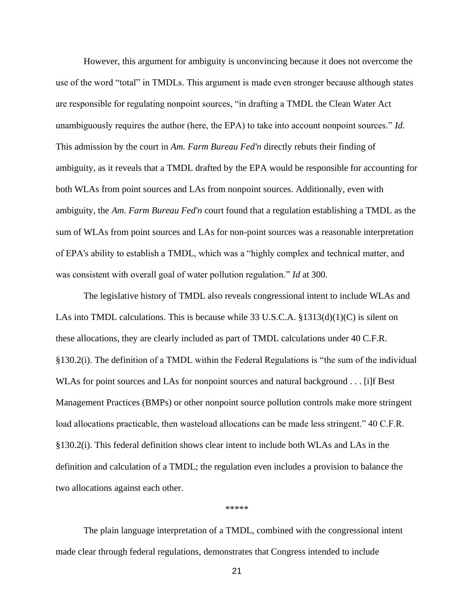However, this argument for ambiguity is unconvincing because it does not overcome the use of the word "total" in TMDLs. This argument is made even stronger because although states are responsible for regulating nonpoint sources, "in drafting a TMDL the Clean Water Act unambiguously requires the author (here, the EPA) to take into account nonpoint sources." *Id.*  This admission by the court in *Am. Farm Bureau Fed'n* directly rebuts their finding of ambiguity, as it reveals that a TMDL drafted by the EPA would be responsible for accounting for both WLAs from point sources and LAs from nonpoint sources. Additionally, even with ambiguity, the *Am. Farm Bureau Fed'n* court found that a regulation establishing a TMDL as the sum of WLAs from point sources and LAs for non-point sources was a reasonable interpretation of EPA's ability to establish a TMDL, which was a "highly complex and technical matter, and was consistent with overall goal of water pollution regulation." *Id* at 300*.* 

The legislative history of TMDL also reveals congressional intent to include WLAs and LAs into TMDL calculations. This is because while 33 U.S.C.A.  $$1313(d)(1)(C)$  is silent on these allocations, they are clearly included as part of TMDL calculations under 40 C.F.R. §130.2(i). The definition of a TMDL within the Federal Regulations is "the sum of the individual WLAs for point sources and LAs for nonpoint sources and natural background . . . [i]f Best Management Practices (BMPs) or other nonpoint source pollution controls make more stringent load allocations practicable, then wasteload allocations can be made less stringent." 40 C.F.R. §130.2(i). This federal definition shows clear intent to include both WLAs and LAs in the definition and calculation of a TMDL; the regulation even includes a provision to balance the two allocations against each other.

\*\*\*\*\*

The plain language interpretation of a TMDL, combined with the congressional intent made clear through federal regulations, demonstrates that Congress intended to include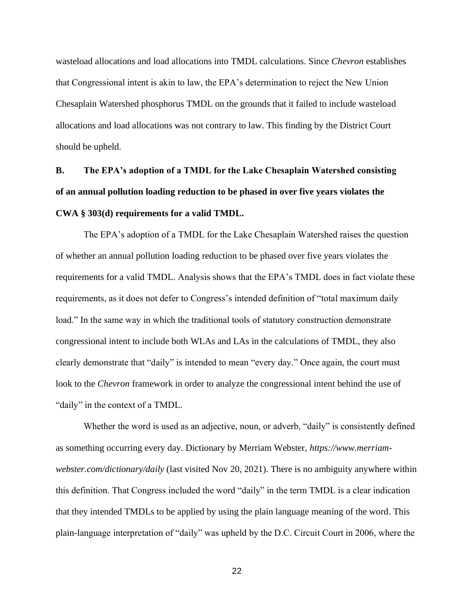wasteload allocations and load allocations into TMDL calculations. Since *Chevron* establishes that Congressional intent is akin to law, the EPA's determination to reject the New Union Chesaplain Watershed phosphorus TMDL on the grounds that it failed to include wasteload allocations and load allocations was not contrary to law. This finding by the District Court should be upheld.

# **B. The EPA's adoption of a TMDL for the Lake Chesaplain Watershed consisting of an annual pollution loading reduction to be phased in over five years violates the CWA § 303(d) requirements for a valid TMDL.**

The EPA's adoption of a TMDL for the Lake Chesaplain Watershed raises the question of whether an annual pollution loading reduction to be phased over five years violates the requirements for a valid TMDL. Analysis shows that the EPA's TMDL does in fact violate these requirements, as it does not defer to Congress's intended definition of "total maximum daily load." In the same way in which the traditional tools of statutory construction demonstrate congressional intent to include both WLAs and LAs in the calculations of TMDL, they also clearly demonstrate that "daily" is intended to mean "every day." Once again, the court must look to the *Chevron* framework in order to analyze the congressional intent behind the use of "daily" in the context of a TMDL.

Whether the word is used as an adjective, noun, or adverb, "daily" is consistently defined as something occurring every day. Dictionary by Merriam Webster, *https://www.merriamwebster.com/dictionary/daily* (last visited Nov 20, 2021)*.* There is no ambiguity anywhere within this definition. That Congress included the word "daily" in the term TMDL is a clear indication that they intended TMDLs to be applied by using the plain language meaning of the word. This plain-language interpretation of "daily" was upheld by the D.C. Circuit Court in 2006, where the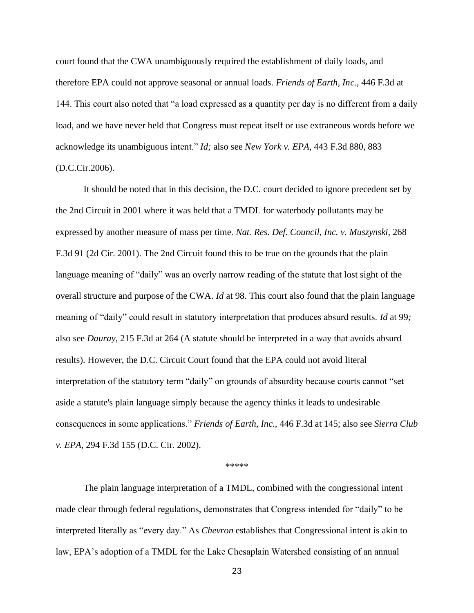court found that the CWA unambiguously required the establishment of daily loads, and therefore EPA could not approve seasonal or annual loads. *Friends of Earth, Inc.,* 446 F.3d at 144. This court also noted that "a load expressed as a quantity per day is no different from a daily load, and we have never held that Congress must repeat itself or use extraneous words before we acknowledge its unambiguous intent." *Id;* also see *New York v. EPA*, 443 F.3d 880, 883 (D.C.Cir.2006).

It should be noted that in this decision, the D.C. court decided to ignore precedent set by the 2nd Circuit in 2001 where it was held that a TMDL for waterbody pollutants may be expressed by another measure of mass per time. *Nat. Res. Def. Council, Inc. v. Muszynski*, 268 F.3d 91 (2d Cir. 2001). The 2nd Circuit found this to be true on the grounds that the plain language meaning of "daily" was an overly narrow reading of the statute that lost sight of the overall structure and purpose of the CWA. *Id* at 98*.* This court also found that the plain language meaning of "daily" could result in statutory interpretation that produces absurd results. *Id* at 99*;*  also see *Dauray*, 215 F.3d at 264 (A statute should be interpreted in a way that avoids absurd results). However, the D.C. Circuit Court found that the EPA could not avoid literal interpretation of the statutory term "daily" on grounds of absurdity because courts cannot "set aside a statute's plain language simply because the agency thinks it leads to undesirable consequences in some applications." *Friends of Earth, Inc.,* 446 F.3d at 145; also see *Sierra Club v. EPA*, 294 F.3d 155 (D.C. Cir. 2002).

#### \*\*\*\*\*

The plain language interpretation of a TMDL, combined with the congressional intent made clear through federal regulations, demonstrates that Congress intended for "daily" to be interpreted literally as "every day." As *Chevron* establishes that Congressional intent is akin to law, EPA's adoption of a TMDL for the Lake Chesaplain Watershed consisting of an annual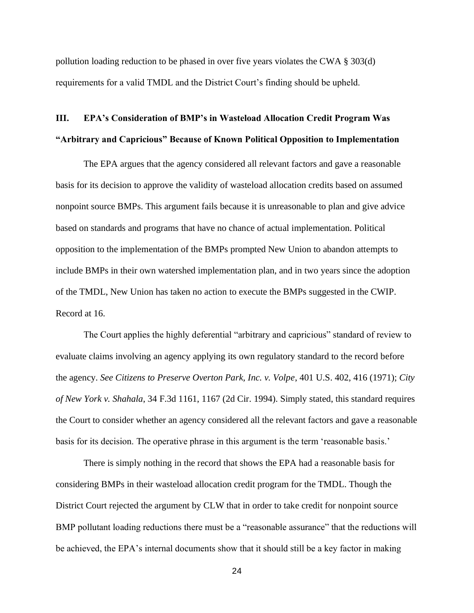pollution loading reduction to be phased in over five years violates the CWA § 303(d) requirements for a valid TMDL and the District Court's finding should be upheld.

## **III. EPA's Consideration of BMP's in Wasteload Allocation Credit Program Was "Arbitrary and Capricious" Because of Known Political Opposition to Implementation**

The EPA argues that the agency considered all relevant factors and gave a reasonable basis for its decision to approve the validity of wasteload allocation credits based on assumed nonpoint source BMPs. This argument fails because it is unreasonable to plan and give advice based on standards and programs that have no chance of actual implementation. Political opposition to the implementation of the BMPs prompted New Union to abandon attempts to include BMPs in their own watershed implementation plan, and in two years since the adoption of the TMDL, New Union has taken no action to execute the BMPs suggested in the CWIP. Record at 16.

The Court applies the highly deferential "arbitrary and capricious" standard of review to evaluate claims involving an agency applying its own regulatory standard to the record before the agency. *See Citizens to Preserve Overton Park, Inc. v. Volpe*, 401 U.S. 402, 416 (1971); *City of New York v. Shahala*, 34 F.3d 1161, 1167 (2d Cir. 1994). Simply stated, this standard requires the Court to consider whether an agency considered all the relevant factors and gave a reasonable basis for its decision. The operative phrase in this argument is the term 'reasonable basis.'

There is simply nothing in the record that shows the EPA had a reasonable basis for considering BMPs in their wasteload allocation credit program for the TMDL. Though the District Court rejected the argument by CLW that in order to take credit for nonpoint source BMP pollutant loading reductions there must be a "reasonable assurance" that the reductions will be achieved, the EPA's internal documents show that it should still be a key factor in making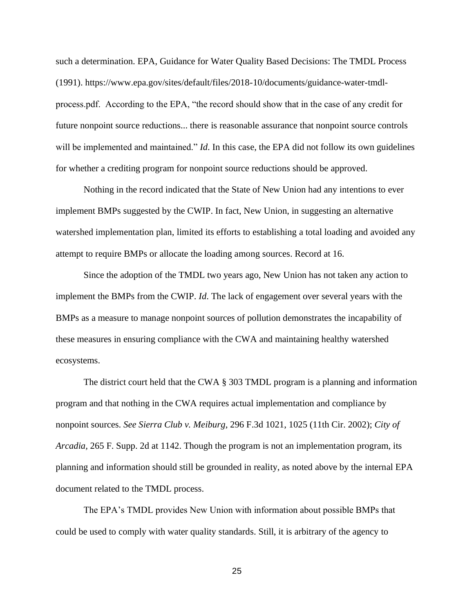such a determination. EPA, Guidance for Water Quality Based Decisions: The TMDL Process (1991). https://www.epa.gov/sites/default/files/2018-10/documents/guidance-water-tmdlprocess.pdf. According to the EPA, "the record should show that in the case of any credit for future nonpoint source reductions... there is reasonable assurance that nonpoint source controls will be implemented and maintained." *Id*. In this case, the EPA did not follow its own guidelines for whether a crediting program for nonpoint source reductions should be approved.

Nothing in the record indicated that the State of New Union had any intentions to ever implement BMPs suggested by the CWIP. In fact, New Union, in suggesting an alternative watershed implementation plan, limited its efforts to establishing a total loading and avoided any attempt to require BMPs or allocate the loading among sources. Record at 16.

Since the adoption of the TMDL two years ago, New Union has not taken any action to implement the BMPs from the CWIP. *Id*. The lack of engagement over several years with the BMPs as a measure to manage nonpoint sources of pollution demonstrates the incapability of these measures in ensuring compliance with the CWA and maintaining healthy watershed ecosystems.

The district court held that the CWA § 303 TMDL program is a planning and information program and that nothing in the CWA requires actual implementation and compliance by nonpoint sources. *See Sierra Club v. Meiburg*, 296 F.3d 1021, 1025 (11th Cir. 2002); *City of Arcadia,* 265 F. Supp. 2d at 1142. Though the program is not an implementation program, its planning and information should still be grounded in reality, as noted above by the internal EPA document related to the TMDL process.

The EPA's TMDL provides New Union with information about possible BMPs that could be used to comply with water quality standards. Still, it is arbitrary of the agency to